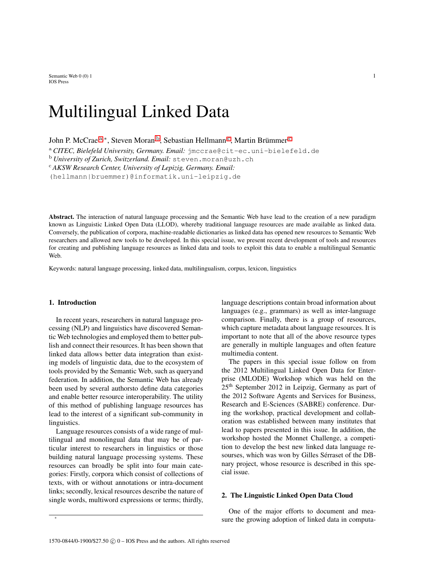Semantic Web  $0(0)$  1 1 IOS Press

## Multilingual Linked Data

John P. McCr[a](#page-0-0)e <sup>a,∗</sup>, Steven Moran <sup>[b](#page-0-1)</sup>, Sebastian Hellmann <sup>[c](#page-0-2)</sup>, Martin Brümmer <sup>c</sup>

<sup>a</sup> *CITEC, Bielefeld University, Germany. Email:* jmccrae@cit-ec.uni-bielefeld.de

<span id="page-0-1"></span><sup>b</sup> *University of Zurich, Switzerland. Email:* steven.moran@uzh.ch

<span id="page-0-2"></span><sup>c</sup> *AKSW Research Center, University of Lepizig, Germany. Email:*

(hellmann|bruemmer)@informatik.uni-leipzig.de

Abstract. The interaction of natural language processing and the Semantic Web have lead to the creation of a new paradigm known as Linguistic Linked Open Data (LLOD), whereby traditional language resources are made available as linked data. Conversely, the publication of corpora, machine-readable dictionaries as linked data has opened new resources to Semantic Web researchers and allowed new tools to be developed. In this special issue, we present recent development of tools and resources for creating and publishing language resources as linked data and tools to exploit this data to enable a multilingual Semantic Web.

Keywords: natural language processing, linked data, multilingualism, corpus, lexicon, linguistics

## 1. Introduction

\*

In recent years, researchers in natural language processing (NLP) and linguistics have discovered Semantic Web technologies and employed them to better publish and connect their resources. It has been shown that linked data allows better data integration than existing models of linguistic data, due to the ecosystem of tools provided by the Semantic Web, such as queryand federation. In addition, the Semantic Web has already been used by several authorsto define data categories and enable better resource interoperability. The utility of this method of publishing language resources has lead to the interest of a significant sub-community in linguistics.

Language resources consists of a wide range of multilingual and monolingual data that may be of particular interest to researchers in linguistics or those building natural language processing systems. These resources can broadly be split into four main categories: Firstly, corpora which consist of collections of texts, with or without annotations or intra-document links; secondly, lexical resources describe the nature of single words, multiword expressions or terms; thirdly, <span id="page-0-0"></span>language descriptions contain broad information about languages (e.g., grammars) as well as inter-language comparison. Finally, there is a group of resources, which capture metadata about language resources. It is important to note that all of the above resource types are generally in multiple languages and often feature multimedia content.

The papers in this special issue follow on from the 2012 Multilingual Linked Open Data for Enterprise (MLODE) Workshop which was held on the 25th September 2012 in Leipzig, Germany as part of the 2012 Software Agents and Services for Business, Research and E-Sciences (SABRE) conference. During the workshop, practical development and collaboration was established between many institutes that lead to papers presented in this issue. In addition, the workshop hosted the Monnet Challenge, a competition to develop the best new linked data language resourses, which was won by Gilles Sérraset of the DBnary project, whose resource is described in this special issue.

## 2. The Linguistic Linked Open Data Cloud

One of the major efforts to document and measure the growing adoption of linked data in computa-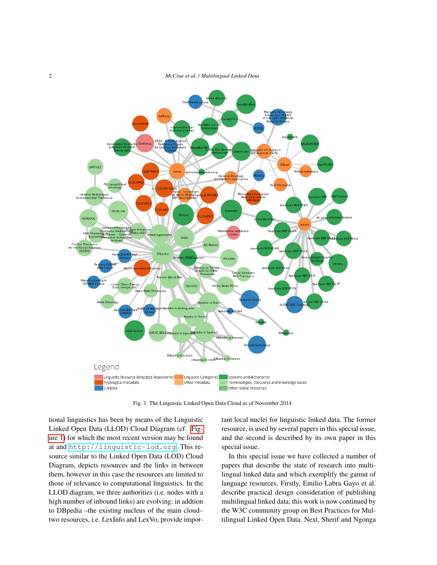

<span id="page-1-0"></span>Fig. 1. The Linguistic Linked Open Data Cloud as of November 2014

tional linguistics has been by means of the Linguistic Linked Open Data (LLOD) Cloud Diagram (cf. [Fig](#page-1-0)[ure 1\)](#page-1-0) for which the most recent version may be found at and <http://linguistic-lod.org>. This resource similar to the Linked Open Data (LOD) Cloud Diagram, depicts resources and the links in between them, however in this case the resources are limited to those of relevance to computational linguistics. In the LLOD diagram, we three authorities (i.e. nodes with a high number of inbound links) are evolving: in addtion to DBpedia –the existing nucleus of the main cloud– two resources, i.e. LexInfo and LexVo, provide important local nuclei for linguistic linked data. The former resource, is used by several papers in this special issue, and the second is described by its own paper in this special issue.

In this special issue we have collected a number of papers that describe the state of research into multilingual linked data and which exemplify the gamut of language resources. Firstly, Emilio Labra Gayo et al. describe practical design consideration of publishing multilingual linked data; this work is now continued by the W3C community group on Best Practices for Multilingual Linked Open Data. Next, Sherif and Ngonga